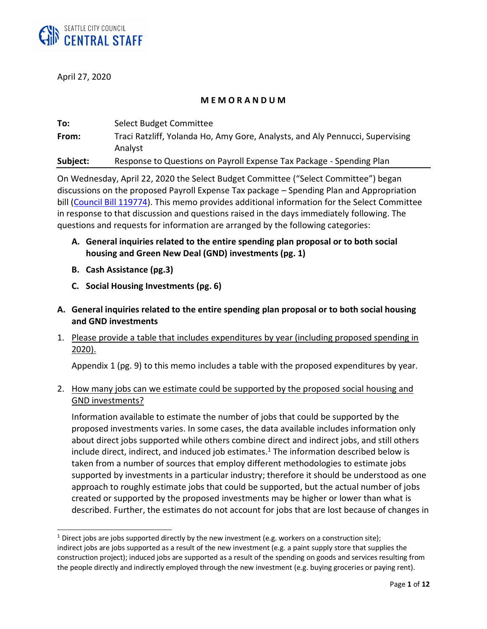

April 27, 2020

 $\overline{a}$ 

## **M E M O R A N D U M**

| To:      | Select Budget Committee                                                                  |
|----------|------------------------------------------------------------------------------------------|
| From:    | Traci Ratzliff, Yolanda Ho, Amy Gore, Analysts, and Aly Pennucci, Supervising<br>Analyst |
| Subject: | Response to Questions on Payroll Expense Tax Package - Spending Plan                     |

On Wednesday, April 22, 2020 the Select Budget Committee ("Select Committee") began discussions on the proposed Payroll Expense Tax package – Spending Plan and Appropriation bill [\(Council Bill 119774\)](https://seattle.legistar.com/LegislationDetail.aspx?ID=4412728&GUID=1EBAED60-2217-473B-9A6C-0F611FA44C81&Options=ID|Text|&Search=119773). This memo provides additional information for the Select Committee in response to that discussion and questions raised in the days immediately following. The questions and requests for information are arranged by the following categories:

- **A. General inquiries related to the entire spending plan proposal or to both social housing and Green New Deal (GND) investments (pg. 1)**
- **B. Cash Assistance (pg.3)**
- **C. Social Housing Investments (pg. 6)**
- **A. General inquiries related to the entire spending plan proposal or to both social housing and GND investments**
- 1. Please provide a table that includes expenditures by year (including proposed spending in 2020).

Appendix 1 (pg. 9) to this memo includes a table with the proposed expenditures by year.

# 2. How many jobs can we estimate could be supported by the proposed social housing and GND investments?

Information available to estimate the number of jobs that could be supported by the proposed investments varies. In some cases, the data available includes information only about direct jobs supported while others combine direct and indirect jobs, and still others include direct, indirect, and induced job estimates. $1$  The information described below is taken from a number of sources that employ different methodologies to estimate jobs supported by investments in a particular industry; therefore it should be understood as one approach to roughly estimate jobs that could be supported, but the actual number of jobs created or supported by the proposed investments may be higher or lower than what is described. Further, the estimates do not account for jobs that are lost because of changes in

 $1$  Direct jobs are jobs supported directly by the new investment (e.g. workers on a construction site); indirect jobs are jobs supported as a result of the new investment (e.g. a paint supply store that supplies the construction project); induced jobs are supported as a result of the spending on goods and services resulting from the people directly and indirectly employed through the new investment (e.g. buying groceries or paying rent).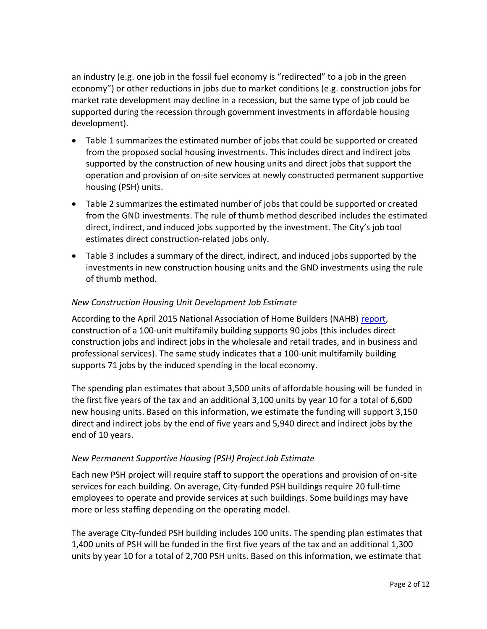an industry (e.g. one job in the fossil fuel economy is "redirected" to a job in the green economy") or other reductions in jobs due to market conditions (e.g. construction jobs for market rate development may decline in a recession, but the same type of job could be supported during the recession through government investments in affordable housing development).

- Table 1 summarizes the estimated number of jobs that could be supported or created from the proposed social housing investments. This includes direct and indirect jobs supported by the construction of new housing units and direct jobs that support the operation and provision of on-site services at newly constructed permanent supportive housing (PSH) units.
- Table 2 summarizes the estimated number of jobs that could be supported or created from the GND investments. The rule of thumb method described includes the estimated direct, indirect, and induced jobs supported by the investment. The City's job tool estimates direct construction-related jobs only.
- Table 3 includes a summary of the direct, indirect, and induced jobs supported by the investments in new construction housing units and the GND investments using the rule of thumb method.

## *New Construction Housing Unit Development Job Estimate*

According to the April 2015 National Association of Home Builders (NAHB) [report,](https://www.nahb.org/-/media/NAHB/news-and-economics/docs/economics/economic-impact/economic-impact-local-area-2015.pdf) construction of a 100-unit multifamily building supports 90 jobs (this includes direct construction jobs and indirect jobs in the wholesale and retail trades, and in business and professional services). The same study indicates that a 100-unit multifamily building supports 71 jobs by the induced spending in the local economy.

The spending plan estimates that about 3,500 units of affordable housing will be funded in the first five years of the tax and an additional 3,100 units by year 10 for a total of 6,600 new housing units. Based on this information, we estimate the funding will support 3,150 direct and indirect jobs by the end of five years and 5,940 direct and indirect jobs by the end of 10 years.

#### *New Permanent Supportive Housing (PSH) Project Job Estimate*

Each new PSH project will require staff to support the operations and provision of on-site services for each building. On average, City-funded PSH buildings require 20 full-time employees to operate and provide services at such buildings. Some buildings may have more or less staffing depending on the operating model.

The average City-funded PSH building includes 100 units. The spending plan estimates that 1,400 units of PSH will be funded in the first five years of the tax and an additional 1,300 units by year 10 for a total of 2,700 PSH units. Based on this information, we estimate that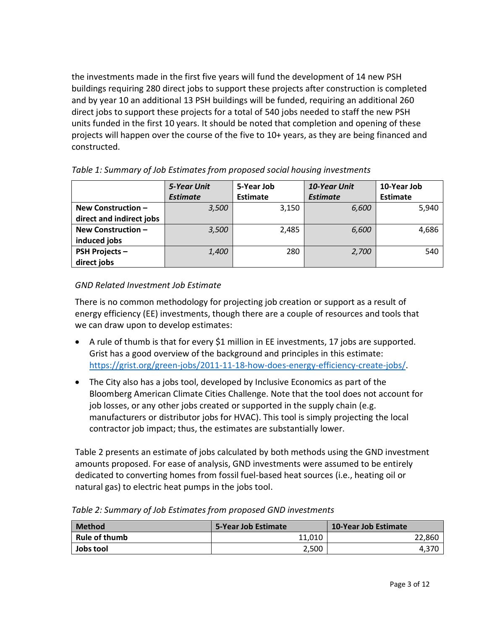the investments made in the first five years will fund the development of 14 new PSH buildings requiring 280 direct jobs to support these projects after construction is completed and by year 10 an additional 13 PSH buildings will be funded, requiring an additional 260 direct jobs to support these projects for a total of 540 jobs needed to staff the new PSH units funded in the first 10 years. It should be noted that completion and opening of these projects will happen over the course of the five to 10+ years, as they are being financed and constructed.

|                          | <b>5-Year Unit</b> | 5-Year Job | <b>10-Year Unit</b> | 10-Year Job     |
|--------------------------|--------------------|------------|---------------------|-----------------|
|                          | <b>Estimate</b>    | Estimate   | <b>Estimate</b>     | <b>Estimate</b> |
| New Construction -       | 3,500              | 3,150      | 6,600               | 5,940           |
| direct and indirect jobs |                    |            |                     |                 |
| New Construction -       | 3,500              | 2,485      | 6,600               | 4,686           |
| induced jobs             |                    |            |                     |                 |
| <b>PSH Projects-</b>     | 1,400              | 280        | 2,700               | 540             |
| direct jobs              |                    |            |                     |                 |

## *Table 1: Summary of Job Estimates from proposed social housing investments*

## *GND Related Investment Job Estimate*

There is no common methodology for projecting job creation or support as a result of energy efficiency (EE) investments, though there are a couple of resources and tools that we can draw upon to develop estimates:

- A rule of thumb is that for every \$1 million in EE investments, 17 jobs are supported. Grist has a good overview of the background and principles in this estimate: [https://grist.org/green-jobs/2011-11-18-how-does-energy-efficiency-create-jobs/.](https://grist.org/green-jobs/2011-11-18-how-does-energy-efficiency-create-jobs/)
- The City also has a jobs tool, developed by Inclusive Economics as part of the Bloomberg American Climate Cities Challenge. Note that the tool does not account for job losses, or any other jobs created or supported in the supply chain (e.g. manufacturers or distributor jobs for HVAC). This tool is simply projecting the local contractor job impact; thus, the estimates are substantially lower.

Table 2 presents an estimate of jobs calculated by both methods using the GND investment amounts proposed. For ease of analysis, GND investments were assumed to be entirely dedicated to converting homes from fossil fuel-based heat sources (i.e., heating oil or natural gas) to electric heat pumps in the jobs tool.

| <b>Method</b>        | 5-Year Job Estimate | <b>10-Year Job Estimate</b> |
|----------------------|---------------------|-----------------------------|
| <b>Rule of thumb</b> | 11,010              | 22,860                      |
| Jobs tool            | 2,500               |                             |

*Table 2: Summary of Job Estimates from proposed GND investments*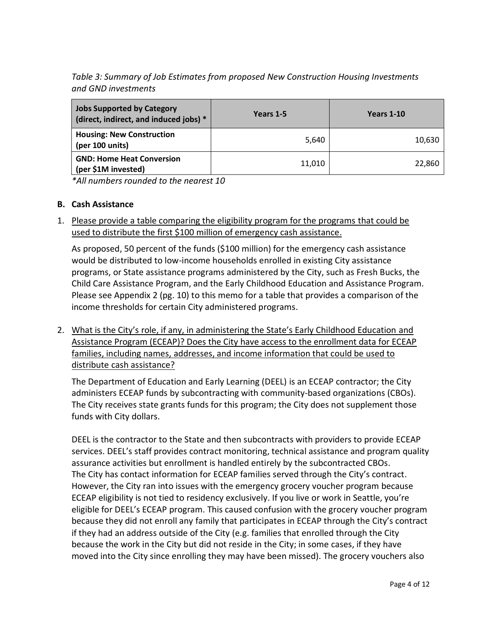*Table 3: Summary of Job Estimates from proposed New Construction Housing Investments and GND investments*

| <b>Jobs Supported by Category</b><br>(direct, indirect, and induced jobs) * | Years 1-5 | Years 1-10 |
|-----------------------------------------------------------------------------|-----------|------------|
| <b>Housing: New Construction</b><br>(per 100 units)                         | 5.640     | 10,630     |
| <b>GND: Home Heat Conversion</b><br>(per \$1M invested)                     | 11,010    | 22,860     |

*\*All numbers rounded to the nearest 10*

#### **B. Cash Assistance**

1. Please provide a table comparing the eligibility program for the programs that could be used to distribute the first \$100 million of emergency cash assistance.

As proposed, 50 percent of the funds (\$100 million) for the emergency cash assistance would be distributed to low-income households enrolled in existing City assistance programs, or State assistance programs administered by the City, such as Fresh Bucks, the Child Care Assistance Program, and the Early Childhood Education and Assistance Program. Please see Appendix 2 (pg. 10) to this memo for a table that provides a comparison of the income thresholds for certain City administered programs.

2. What is the City's role, if any, in administering the State's Early Childhood Education and Assistance Program (ECEAP)? Does the City have access to the enrollment data for ECEAP families, including names, addresses, and income information that could be used to distribute cash assistance?

The Department of Education and Early Learning (DEEL) is an ECEAP contractor; the City administers ECEAP funds by subcontracting with community-based organizations (CBOs). The City receives state grants funds for this program; the City does not supplement those funds with City dollars.

DEEL is the contractor to the State and then subcontracts with providers to provide ECEAP services. DEEL's staff provides contract monitoring, technical assistance and program quality assurance activities but enrollment is handled entirely by the subcontracted CBOs. The City has contact information for ECEAP families served through the City's contract. However, the City ran into issues with the emergency grocery voucher program because ECEAP eligibility is not tied to residency exclusively. If you live or work in Seattle, you're eligible for DEEL's ECEAP program. This caused confusion with the grocery voucher program because they did not enroll any family that participates in ECEAP through the City's contract if they had an address outside of the City (e.g. families that enrolled through the City because the work in the City but did not reside in the City; in some cases, if they have moved into the City since enrolling they may have been missed). The grocery vouchers also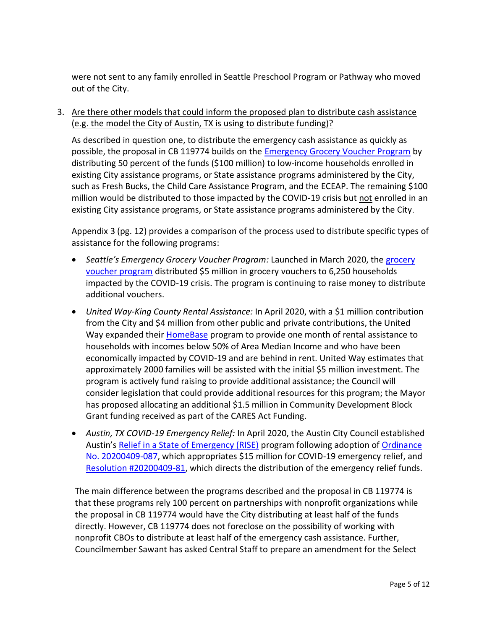were not sent to any family enrolled in Seattle Preschool Program or Pathway who moved out of the City.

3. Are there other models that could inform the proposed plan to distribute cash assistance (e.g. the model the City of Austin, TX is using to distribute funding)?

As described in question one, to distribute the emergency cash assistance as quickly as possible, the proposal in CB 119774 builds on the [Emergency Grocery Voucher Program](https://greenspace.seattle.gov/2020/03/emergency-food-vouchers-to-support-those-in-need-during-covid-19/#sthash.oD3QtpFK.dpbs) by distributing 50 percent of the funds (\$100 million) to low-income households enrolled in existing City assistance programs, or State assistance programs administered by the City, such as Fresh Bucks, the Child Care Assistance Program, and the ECEAP. The remaining \$100 million would be distributed to those impacted by the COVID-19 crisis but not enrolled in an existing City assistance programs, or State assistance programs administered by the City.

Appendix 3 (pg. 12) provides a comparison of the process used to distribute specific types of assistance for the following programs:

- *Seattle's Emergency Grocery Voucher Program:* Launched in March 2020, the [grocery](https://greenspace.seattle.gov/2020/03/emergency-food-vouchers-to-support-those-in-need-during-covid-19/#sthash.oD3QtpFK.dpbs)  [voucher program](https://greenspace.seattle.gov/2020/03/emergency-food-vouchers-to-support-those-in-need-during-covid-19/#sthash.oD3QtpFK.dpbs) distributed \$5 million in grocery vouchers to 6,250 households impacted by the COVID-19 crisis. The program is continuing to raise money to distribute additional vouchers.
- *United Way-King County Rental Assistance:* In April 2020, with a \$1 million contribution from the City and \$4 million from other public and private contributions, the United Way expanded their [HomeBase](https://www.uwkc.org/fighting-homelessness/home-base/) program to provide one month of rental assistance to households with incomes below 50% of Area Median Income and who have been economically impacted by COVID-19 and are behind in rent. United Way estimates that approximately 2000 families will be assisted with the initial \$5 million investment. The program is actively fund raising to provide additional assistance; the Council will consider legislation that could provide additional resources for this program; the Mayor has proposed allocating an additional \$1.5 million in Community Development Block Grant funding received as part of the CARES Act Funding.
- *Austin, TX COVID-19 Emergency Relief:* In April 2020, the Austin City Council established Austin's [Relief in a State of Emergency \(RISE\)](https://www.austintexas.gov/article/covid-19-relief-state-emergency-rise-fund) program following adoption of [Ordinance](https://www.austintexas.gov/edims/document.cfm?id=339004)  [No. 20200409-087,](https://www.austintexas.gov/edims/document.cfm?id=339004) which appropriates \$15 million for COVID-19 emergency relief, and [Resolution #20200409-81,](https://www.austintexas.gov/edims/document.cfm?id=339008) which directs the distribution of the emergency relief funds.

The main difference between the programs described and the proposal in CB 119774 is that these programs rely 100 percent on partnerships with nonprofit organizations while the proposal in CB 119774 would have the City distributing at least half of the funds directly. However, CB 119774 does not foreclose on the possibility of working with nonprofit CBOs to distribute at least half of the emergency cash assistance. Further, Councilmember Sawant has asked Central Staff to prepare an amendment for the Select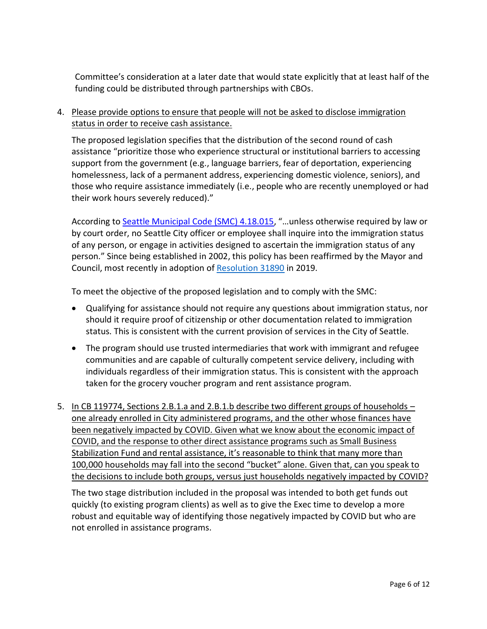Committee's consideration at a later date that would state explicitly that at least half of the funding could be distributed through partnerships with CBOs.

4. Please provide options to ensure that people will not be asked to disclose immigration status in order to receive cash assistance.

The proposed legislation specifies that the distribution of the second round of cash assistance "prioritize those who experience structural or institutional barriers to accessing support from the government (e.g., language barriers, fear of deportation, experiencing homelessness, lack of a permanent address, experiencing domestic violence, seniors), and those who require assistance immediately (i.e., people who are recently unemployed or had their work hours severely reduced)."

According to **Seattle Municipal Code (SMC) 4.18.015**, "...unless otherwise required by law or by court order, no Seattle City officer or employee shall inquire into the immigration status of any person, or engage in activities designed to ascertain the immigration status of any person." Since being established in 2002, this policy has been reaffirmed by the Mayor and Council, most recently in adoption of [Resolution 31890](https://seattle.legistar.com/LegislationDetail.aspx?ID=3963549&GUID=8B2EC1E7-5BC9-4047-A347-49794C779E54&Options=ID%7CText%7C&Search=DACA&FullText=1) in 2019.

To meet the objective of the proposed legislation and to comply with the SMC:

- Qualifying for assistance should not require any questions about immigration status, nor should it require proof of citizenship or other documentation related to immigration status. This is consistent with the current provision of services in the City of Seattle.
- The program should use trusted intermediaries that work with immigrant and refugee communities and are capable of culturally competent service delivery, including with individuals regardless of their immigration status. This is consistent with the approach taken for the grocery voucher program and rent assistance program.
- 5. In CB 119774, Sections 2.B.1.a and 2.B.1.b describe two different groups of households one already enrolled in City administered programs, and the other whose finances have been negatively impacted by COVID. Given what we know about the economic impact of COVID, and the response to other direct assistance programs such as Small Business Stabilization Fund and rental assistance, it's reasonable to think that many more than 100,000 households may fall into the second "bucket" alone. Given that, can you speak to the decisions to include both groups, versus just households negatively impacted by COVID?

The two stage distribution included in the proposal was intended to both get funds out quickly (to existing program clients) as well as to give the Exec time to develop a more robust and equitable way of identifying those negatively impacted by COVID but who are not enrolled in assistance programs.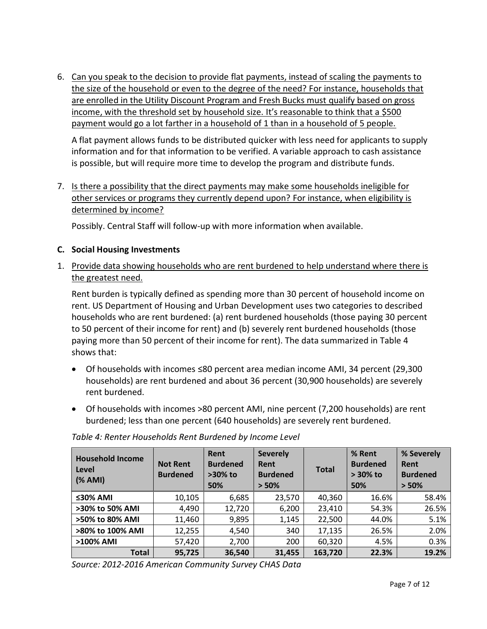6. Can you speak to the decision to provide flat payments, instead of scaling the payments to the size of the household or even to the degree of the need? For instance, households that are enrolled in the Utility Discount Program and Fresh Bucks must qualify based on gross income, with the threshold set by household size. It's reasonable to think that a \$500 payment would go a lot farther in a household of 1 than in a household of 5 people.

A flat payment allows funds to be distributed quicker with less need for applicants to supply information and for that information to be verified. A variable approach to cash assistance is possible, but will require more time to develop the program and distribute funds.

7. Is there a possibility that the direct payments may make some households ineligible for other services or programs they currently depend upon? For instance, when eligibility is determined by income?

Possibly. Central Staff will follow-up with more information when available.

#### **C. Social Housing Investments**

1. Provide data showing households who are rent burdened to help understand where there is the greatest need.

Rent burden is typically defined as spending more than 30 percent of household income on rent. US Department of Housing and Urban Development uses two categories to described households who are rent burdened: (a) rent burdened households (those paying 30 percent to 50 percent of their income for rent) and (b) severely rent burdened households (those paying more than 50 percent of their income for rent). The data summarized in Table 4 shows that:

- Of households with incomes ≤80 percent area median income AMI, 34 percent (29,300 households) are rent burdened and about 36 percent (30,900 households) are severely rent burdened.
- Of households with incomes >80 percent AMI, nine percent (7,200 households) are rent burdened; less than one percent (640 households) are severely rent burdened.

| <b>Household Income</b><br>Level<br>( % AMI) | <b>Not Rent</b><br><b>Burdened</b> | Rent<br><b>Burdened</b><br>$>30\%$ to<br>50% | <b>Severely</b><br>Rent<br><b>Burdened</b><br>> 50% | <b>Total</b> | % Rent<br><b>Burdened</b><br>$> 30\%$ to<br>50% | % Severely<br>Rent<br><b>Burdened</b><br>> 50% |
|----------------------------------------------|------------------------------------|----------------------------------------------|-----------------------------------------------------|--------------|-------------------------------------------------|------------------------------------------------|
| $≤30%$ AMI                                   | 10,105                             | 6,685                                        | 23,570                                              | 40,360       | 16.6%                                           | 58.4%                                          |
| >30% to 50% AMI                              | 4,490                              | 12,720                                       | 6,200                                               | 23,410       | 54.3%                                           | 26.5%                                          |
| >50% to 80% AMI                              | 11,460                             | 9,895                                        | 1,145                                               | 22,500       | 44.0%                                           | 5.1%                                           |
| >80% to 100% AMI                             | 12,255                             | 4,540                                        | 340                                                 | 17,135       | 26.5%                                           | 2.0%                                           |
| >100% AMI                                    | 57,420                             | 2,700                                        | 200                                                 | 60,320       | 4.5%                                            | 0.3%                                           |
| <b>Total</b>                                 | 95,725                             | 36,540                                       | 31,455                                              | 163,720      | 22.3%                                           | 19.2%                                          |

#### *Table 4: Renter Households Rent Burdened by Income Level*

*Source: 2012-2016 American Community Survey CHAS Data*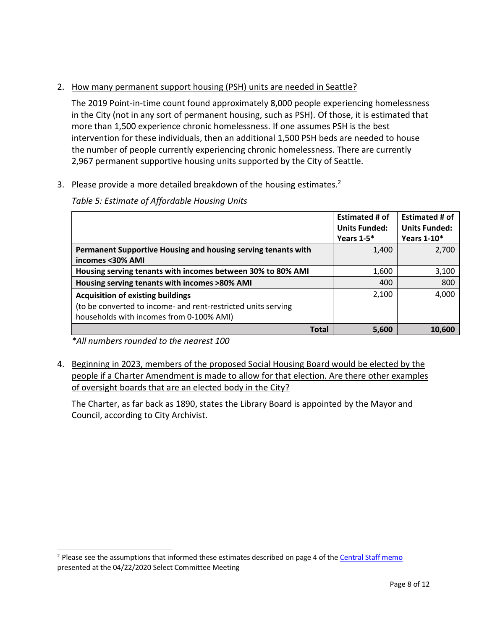# 2. How many permanent support housing (PSH) units are needed in Seattle?

The 2019 Point-in-time count found approximately 8,000 people experiencing homelessness in the City (not in any sort of permanent housing, such as PSH). Of those, it is estimated that more than 1,500 experience chronic homelessness. If one assumes PSH is the best intervention for these individuals, then an additional 1,500 PSH beds are needed to house the number of people currently experiencing chronic homelessness. There are currently 2,967 permanent supportive housing units supported by the City of Seattle.

# 3. Please provide a more detailed breakdown of the housing estimates.<sup>2</sup>

*Table 5: Estimate of Affordable Housing Units* 

|                                                                                   | <b>Estimated # of</b><br><b>Units Funded:</b> | <b>Estimated # of</b><br><b>Units Funded:</b> |
|-----------------------------------------------------------------------------------|-----------------------------------------------|-----------------------------------------------|
|                                                                                   | Years $1-5$ *                                 | Years 1-10*                                   |
| Permanent Supportive Housing and housing serving tenants with<br>incomes <30% AMI | 1,400                                         | 2,700                                         |
| Housing serving tenants with incomes between 30% to 80% AMI                       | 1,600                                         | 3,100                                         |
| Housing serving tenants with incomes >80% AMI                                     | 400                                           | 800                                           |
| <b>Acquisition of existing buildings</b>                                          | 2,100                                         | 4,000                                         |
| (to be converted to income- and rent-restricted units serving                     |                                               |                                               |
| households with incomes from 0-100% AMI)                                          |                                               |                                               |
| <b>Total</b>                                                                      | 5,600                                         | 10.600                                        |

*\*All numbers rounded to the nearest 100*

 $\overline{\phantom{a}}$ 

4. Beginning in 2023, members of the proposed Social Housing Board would be elected by the people if a Charter Amendment is made to allow for that election. Are there other examples of oversight boards that are an elected body in the City?

The Charter, as far back as 1890, states the Library Board is appointed by the Mayor and Council, according to City Archivist.

<sup>&</sup>lt;sup>2</sup> Please see the assumptions that informed these estimates described on page 4 of th[e Central Staff memo](https://seattle.legistar.com/View.ashx?M=F&ID=8256128&GUID=71032942-ED3E-433B-A602-49F38A2AE673) presented at the 04/22/2020 Select Committee Meeting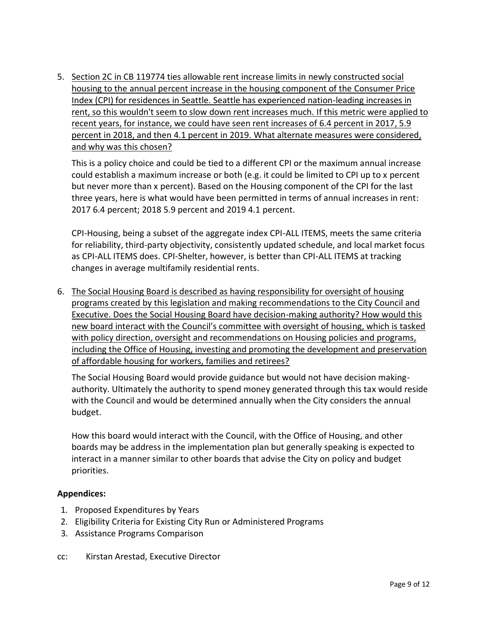5. Section 2C in CB 119774 ties allowable rent increase limits in newly constructed social housing to the annual percent increase in the housing component of the Consumer Price Index (CPI) for residences in Seattle. Seattle has experienced nation-leading increases in rent, so this wouldn't seem to slow down rent increases much. If this metric were applied to recent years, for instance, we could have seen rent increases of 6.4 percent in 2017, 5.9 percent in 2018, and then 4.1 percent in 2019. What alternate measures were considered, and why was this chosen?

This is a policy choice and could be tied to a different CPI or the maximum annual increase could establish a maximum increase or both (e.g. it could be limited to CPI up to x percent but never more than x percent). Based on the Housing component of the CPI for the last three years, here is what would have been permitted in terms of annual increases in rent: 2017 6.4 percent; 2018 5.9 percent and 2019 4.1 percent.

CPI-Housing, being a subset of the aggregate index CPI-ALL ITEMS, meets the same criteria for reliability, third-party objectivity, consistently updated schedule, and local market focus as CPI-ALL ITEMS does. CPI-Shelter, however, is better than CPI-ALL ITEMS at tracking changes in average multifamily residential rents.

6. The Social Housing Board is described as having responsibility for oversight of housing programs created by this legislation and making recommendations to the City Council and Executive. Does the Social Housing Board have decision-making authority? How would this new board interact with the Council's committee with oversight of housing, which is tasked with policy direction, oversight and recommendations on Housing policies and programs, including the Office of Housing, investing and promoting the development and preservation of affordable housing for workers, families and retirees?

The Social Housing Board would provide guidance but would not have decision makingauthority. Ultimately the authority to spend money generated through this tax would reside with the Council and would be determined annually when the City considers the annual budget.

How this board would interact with the Council, with the Office of Housing, and other boards may be address in the implementation plan but generally speaking is expected to interact in a manner similar to other boards that advise the City on policy and budget priorities.

# **Appendices:**

- 1. Proposed Expenditures by Years
- 2. Eligibility Criteria for Existing City Run or Administered Programs
- 3. Assistance Programs Comparison
- cc: Kirstan Arestad, Executive Director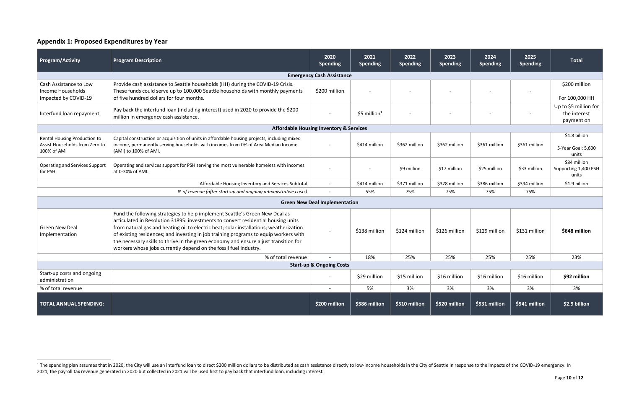# **Appendix 1: Proposed Expenditures by Year**

 $\overline{\phantom{a}}$ 

| <b>Program/Activity</b>                                                                           | <b>Program Description</b>                                                                                                                                                                                                                                                                                                                                                                                                                                                                                     | 2020<br><b>Spending</b>              | 2021<br><b>Spending</b>   | 2022<br><b>Spending</b> | 2023<br><b>Spending</b> | 2024<br><b>Spending</b> | 2025<br><b>Spending</b> | <b>Total</b>                                        |
|---------------------------------------------------------------------------------------------------|----------------------------------------------------------------------------------------------------------------------------------------------------------------------------------------------------------------------------------------------------------------------------------------------------------------------------------------------------------------------------------------------------------------------------------------------------------------------------------------------------------------|--------------------------------------|---------------------------|-------------------------|-------------------------|-------------------------|-------------------------|-----------------------------------------------------|
| <b>Emergency Cash Assistance</b>                                                                  |                                                                                                                                                                                                                                                                                                                                                                                                                                                                                                                |                                      |                           |                         |                         |                         |                         |                                                     |
| Cash Assistance to Low<br>Income Households<br>Impacted by COVID-19                               | Provide cash assistance to Seattle households (HH) during the COVID-19 Crisis.<br>These funds could serve up to 100,000 Seattle households with monthly payments<br>of five hundred dollars for four months.                                                                                                                                                                                                                                                                                                   | \$200 million                        |                           |                         |                         |                         |                         | \$200 million<br>For 100,000 HH                     |
| Interfund loan repayment                                                                          | Pay back the interfund loan (including interest) used in 2020 to provide the \$200<br>million in emergency cash assistance.                                                                                                                                                                                                                                                                                                                                                                                    |                                      | $$5$ million <sup>1</sup> |                         |                         |                         |                         | Up to \$5 million for<br>the interest<br>payment on |
|                                                                                                   | <b>Affordable Housing Inventory &amp; Services</b>                                                                                                                                                                                                                                                                                                                                                                                                                                                             |                                      |                           |                         |                         |                         |                         |                                                     |
| Rental Housing Production to<br>Assist Households from Zero to<br>100% of AMI                     | Capital construction or acquisition of units in affordable housing projects, including mixed<br>income, permanently serving households with incomes from 0% of Area Median Income<br>(AMI) to 100% of AMI.                                                                                                                                                                                                                                                                                                     |                                      | \$414 million             | \$362 million           | \$362 million           | \$361 million           | \$361 million           | \$1.8 billion<br>5-Year Goal: 5,600<br>units        |
| <b>Operating and Services Support</b><br>for PSH                                                  | Operating and services support for PSH serving the most vulnerable homeless with incomes<br>at 0-30% of AMI.                                                                                                                                                                                                                                                                                                                                                                                                   |                                      |                           | \$9 million             | \$17 million            | \$25 million            | \$33 million            | \$84 million<br>Supporting 1,400 PSH<br>units       |
|                                                                                                   | Affordable Housing Inventory and Services Subtotal                                                                                                                                                                                                                                                                                                                                                                                                                                                             | $\sim$                               | \$414 million             | \$371 million           | \$378 million           | \$386 million           | \$394 million           | \$1.9 billion                                       |
| % of revenue (after start-up and ongoing administrative costs)<br>55%<br>75%<br>75%<br>75%<br>75% |                                                                                                                                                                                                                                                                                                                                                                                                                                                                                                                |                                      |                           |                         |                         |                         |                         |                                                     |
|                                                                                                   |                                                                                                                                                                                                                                                                                                                                                                                                                                                                                                                | <b>Green New Deal Implementation</b> |                           |                         |                         |                         |                         |                                                     |
| <b>Green New Deal</b><br>Implementation                                                           | Fund the following strategies to help implement Seattle's Green New Deal as<br>articulated in Resolution 31895: investments to convert residential housing units<br>from natural gas and heating oil to electric heat; solar installations; weatherization<br>of existing residences; and investing in job training programs to equip workers with<br>the necessary skills to thrive in the green economy and ensure a just transition for<br>workers whose jobs currently depend on the fossil fuel industry. |                                      | \$138 million             | \$124 million           | \$126 million           | \$129 million           | \$131 million           | \$648 million                                       |
|                                                                                                   | % of total revenue                                                                                                                                                                                                                                                                                                                                                                                                                                                                                             |                                      | 18%                       | 25%                     | 25%                     | 25%                     | 25%                     | 23%                                                 |
| <b>Start-up &amp; Ongoing Costs</b>                                                               |                                                                                                                                                                                                                                                                                                                                                                                                                                                                                                                |                                      |                           |                         |                         |                         |                         |                                                     |
| Start-up costs and ongoing<br>administration                                                      |                                                                                                                                                                                                                                                                                                                                                                                                                                                                                                                |                                      | \$29 million              | \$15 million            | \$16 million            | \$16 million            | \$16 million            | \$92 million                                        |
| % of total revenue                                                                                |                                                                                                                                                                                                                                                                                                                                                                                                                                                                                                                |                                      | 5%                        | 3%                      | 3%                      | 3%                      | 3%                      | 3%                                                  |
| <b>TOTAL ANNUAL SPENDING:</b>                                                                     |                                                                                                                                                                                                                                                                                                                                                                                                                                                                                                                | \$200 million                        | \$586 million             | \$510 million           | \$520 million           | \$531 million           | \$541 million           | \$2.9 billion                                       |

<sup>&</sup>lt;sup>1</sup> The spending plan assumes that in 2020, the City will use an interfund loan to direct \$200 million dollars to be distributed as cash assistance directly to low-income households in the City of Seattle in response to th 2021, the payroll tax revenue generated in 2020 but collected in 2021 will be used first to pay back that interfund loan, including interest.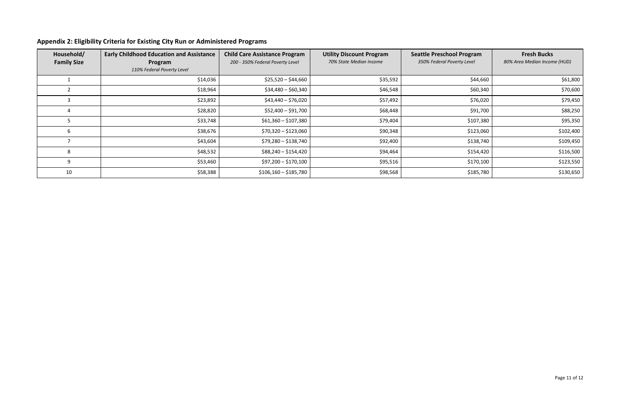# **Appendix 2: Eligibility Criteria for Existing City Run or Administered Programs**

| Household/<br><b>Family Size</b> | <b>Early Childhood Education and Assistance</b><br>Program | <b>Child Care Assistance Program</b><br>200 - 350% Federal Poverty Level | <b>Utility Discount Program</b><br>70% State Median Income | <b>Seattle Preschool Program</b><br>350% Federal Poverty Level | <b>Fresh Bucks</b><br>80% Area Median Income (HUD) |
|----------------------------------|------------------------------------------------------------|--------------------------------------------------------------------------|------------------------------------------------------------|----------------------------------------------------------------|----------------------------------------------------|
|                                  | 110% Federal Poverty Level                                 |                                                                          |                                                            |                                                                |                                                    |
|                                  | \$14,036                                                   | $$25,520 - $44,660$                                                      | \$35,592                                                   | \$44,660                                                       | \$61,800                                           |
|                                  | \$18,964                                                   | $$34,480 - $60,340$                                                      | \$46,548                                                   | \$60,340                                                       | \$70,600                                           |
|                                  | \$23,892                                                   | \$43,440 - \$76,020                                                      | \$57,492                                                   | \$76,020                                                       | \$79,450                                           |
|                                  | \$28,820                                                   | \$52,400 - \$91,700                                                      | \$68,448                                                   | \$91,700                                                       | \$88,250                                           |
|                                  | \$33,748                                                   | $$61,360 - $107,380$                                                     | \$79,404                                                   | \$107,380                                                      | \$95,350                                           |
| b                                | \$38,676                                                   | $$70,320 - $123,060$                                                     | \$90,348                                                   | \$123,060                                                      | \$102,400                                          |
|                                  | \$43,604                                                   | \$79,280 - \$138,740                                                     | \$92,400                                                   | \$138,740                                                      | \$109,450                                          |
| 8                                | \$48,532                                                   | $$88,240 - $154,420$                                                     | \$94,464                                                   | \$154,420                                                      | \$116,500                                          |
| 9                                | \$53,460                                                   | $$97,200 - $170,100$                                                     | \$95,516                                                   | \$170,100                                                      | \$123,550                                          |
| 10                               | \$58,388                                                   | $$106,160 - $185,780$                                                    | \$98,568                                                   | \$185,780                                                      | \$130,650                                          |